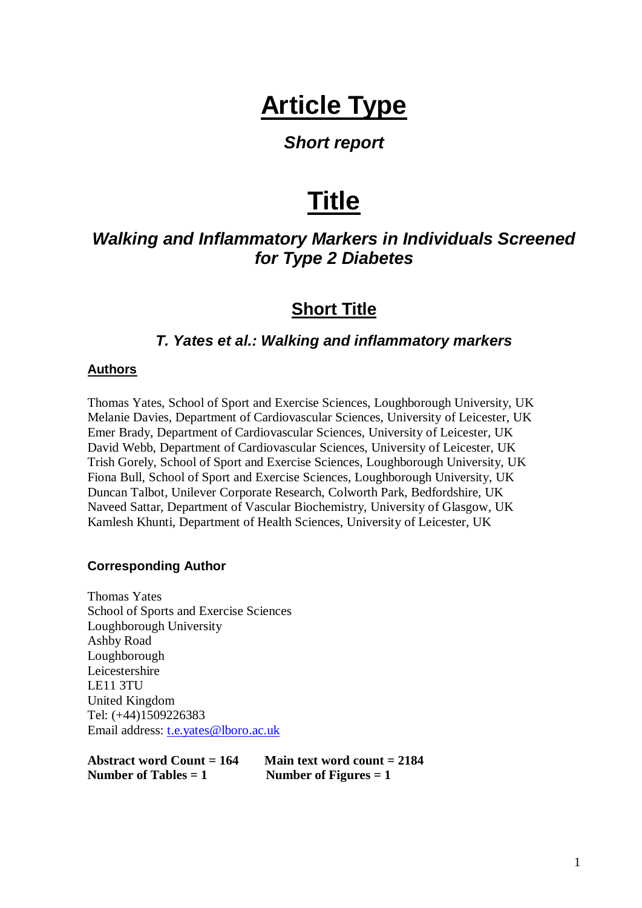# **Article Type**

## *Short report*

# **Title**

# *Walking and Inflammatory Markers in Individuals Screened for Type 2 Diabetes*

# **Short Title**

#### *T. Yates et al.: Walking and inflammatory markers*

#### **Authors**

Thomas Yates, School of Sport and Exercise Sciences, Loughborough University, UK Melanie Davies, Department of Cardiovascular Sciences, University of Leicester, UK Emer Brady, Department of Cardiovascular Sciences, University of Leicester, UK David Webb, Department of Cardiovascular Sciences, University of Leicester, UK Trish Gorely, School of Sport and Exercise Sciences, Loughborough University, UK Fiona Bull, School of Sport and Exercise Sciences, Loughborough University, UK Duncan Talbot, Unilever Corporate Research, Colworth Park, Bedfordshire, UK Naveed Sattar, Department of Vascular Biochemistry, University of Glasgow, UK Kamlesh Khunti, Department of Health Sciences, University of Leicester, UK

#### **Corresponding Author**

Thomas Yates School of Sports and Exercise Sciences Loughborough University Ashby Road Loughborough Leicestershire LE11 3TU United Kingdom Tel: (+44)1509226383 Email address: [t.e.yates@lboro.ac.uk](mailto:t.e.yates@lboro.ac.uk)

**Abstract word Count = 164 Main text word count = 2184 Number of Tables = 1** Number of Figures = 1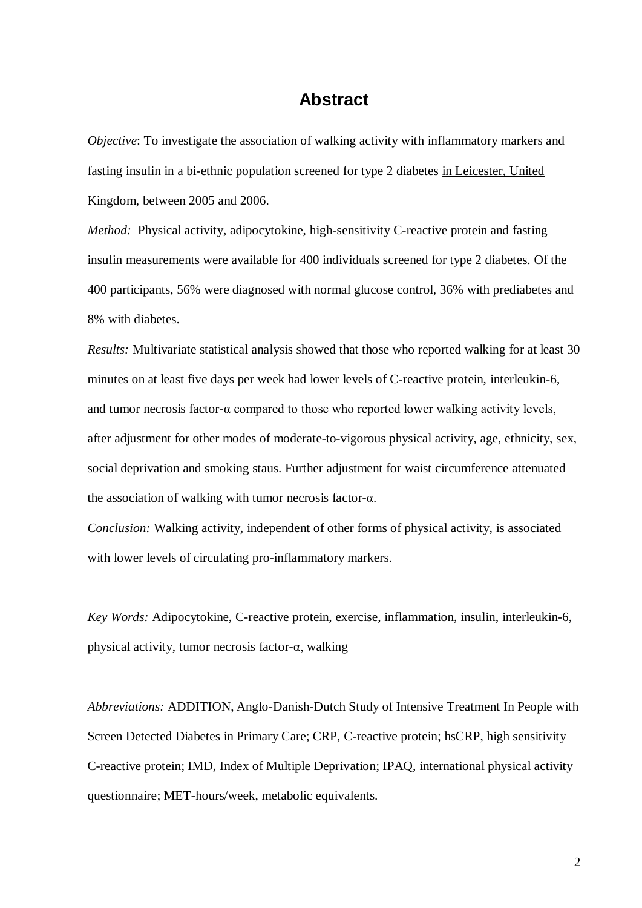#### **Abstract**

*Objective*: To investigate the association of walking activity with inflammatory markers and fasting insulin in a bi-ethnic population screened for type 2 diabetes in Leicester, United Kingdom, between 2005 and 2006.

*Method:* Physical activity, adipocytokine, high-sensitivity C-reactive protein and fasting insulin measurements were available for 400 individuals screened for type 2 diabetes. Of the 400 participants, 56% were diagnosed with normal glucose control, 36% with prediabetes and 8% with diabetes.

*Results:* Multivariate statistical analysis showed that those who reported walking for at least 30 minutes on at least five days per week had lower levels of C-reactive protein, interleukin-6, and tumor necrosis factor- $\alpha$  compared to those who reported lower walking activity levels, after adjustment for other modes of moderate-to-vigorous physical activity, age, ethnicity, sex, social deprivation and smoking staus. Further adjustment for waist circumference attenuated the association of walking with tumor necrosis factor-α.

*Conclusion:* Walking activity, independent of other forms of physical activity, is associated with lower levels of circulating pro-inflammatory markers.

*Key Words:* Adipocytokine, C-reactive protein, exercise, inflammation, insulin, interleukin-6, physical activity, tumor necrosis factor-α, walking

*Abbreviations:* ADDITION, Anglo-Danish-Dutch Study of Intensive Treatment In People with Screen Detected Diabetes in Primary Care; CRP, C-reactive protein; hsCRP, high sensitivity C-reactive protein; IMD, Index of Multiple Deprivation; IPAQ, international physical activity questionnaire; MET-hours/week, metabolic equivalents.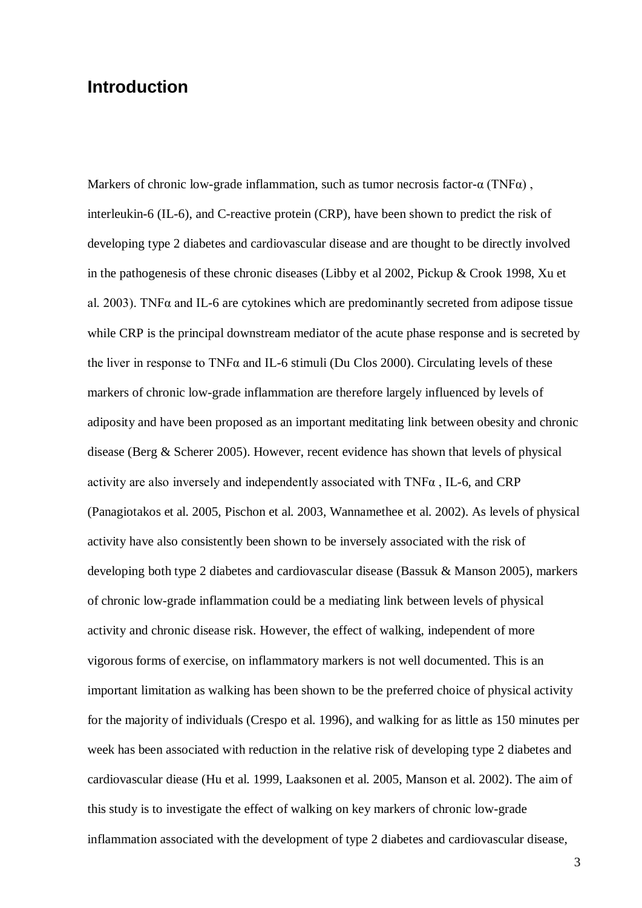#### **Introduction**

Markers of chronic low-grade inflammation, such as tumor necrosis factor- $\alpha$  (TNF $\alpha$ ), interleukin-6 (IL-6), and C-reactive protein (CRP), have been shown to predict the risk of developing type 2 diabetes and cardiovascular disease and are thought to be directly involved in the pathogenesis of these chronic diseases (Libby et al 2002, Pickup & Crook 1998, Xu et al. 2003). TNFα and IL-6 are cytokines which are predominantly secreted from adipose tissue while CRP is the principal downstream mediator of the acute phase response and is secreted by the liver in response to TNF $\alpha$  and IL-6 stimuli (Du Clos 2000). Circulating levels of these markers of chronic low-grade inflammation are therefore largely influenced by levels of adiposity and have been proposed as an important meditating link between obesity and chronic disease (Berg & Scherer 2005). However, recent evidence has shown that levels of physical activity are also inversely and independently associated with  $TNF\alpha$ , IL-6, and CRP (Panagiotakos et al. 2005, Pischon et al. 2003, Wannamethee et al. 2002). As levels of physical activity have also consistently been shown to be inversely associated with the risk of developing both type 2 diabetes and cardiovascular disease (Bassuk & Manson 2005), markers of chronic low-grade inflammation could be a mediating link between levels of physical activity and chronic disease risk. However, the effect of walking, independent of more vigorous forms of exercise, on inflammatory markers is not well documented. This is an important limitation as walking has been shown to be the preferred choice of physical activity for the majority of individuals (Crespo et al. 1996), and walking for as little as 150 minutes per week has been associated with reduction in the relative risk of developing type 2 diabetes and cardiovascular diease (Hu et al. 1999, Laaksonen et al. 2005, Manson et al. 2002). The aim of this study is to investigate the effect of walking on key markers of chronic low-grade inflammation associated with the development of type 2 diabetes and cardiovascular disease,

3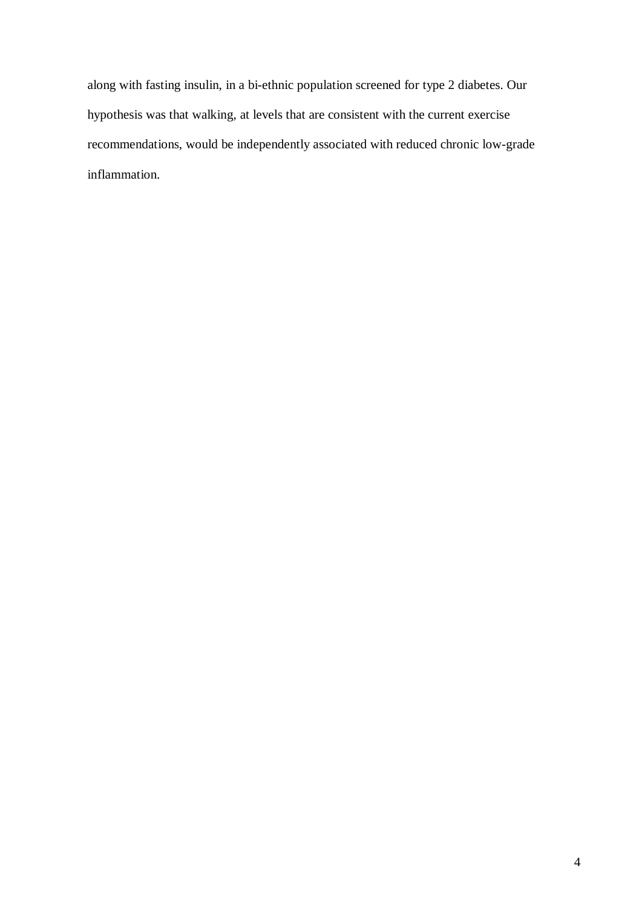along with fasting insulin, in a bi-ethnic population screened for type 2 diabetes. Our hypothesis was that walking, at levels that are consistent with the current exercise recommendations, would be independently associated with reduced chronic low-grade inflammation.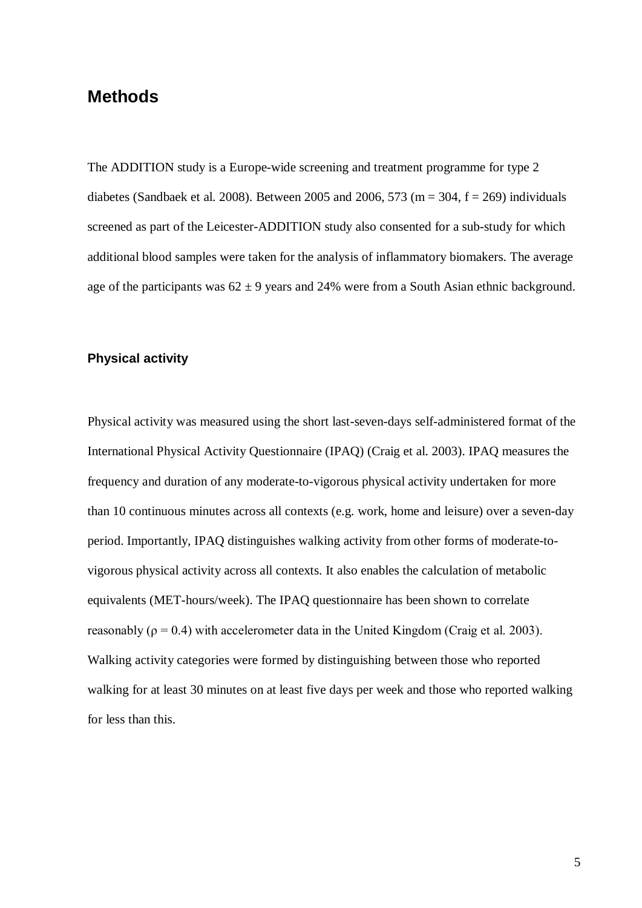### **Methods**

The ADDITION study is a Europe-wide screening and treatment programme for type 2 diabetes (Sandbaek et al. 2008). Between 2005 and 2006, 573 (m = 304, f = 269) individuals screened as part of the Leicester-ADDITION study also consented for a sub-study for which additional blood samples were taken for the analysis of inflammatory biomakers. The average age of the participants was  $62 \pm 9$  years and 24% were from a South Asian ethnic background.

#### **Physical activity**

Physical activity was measured using the short last-seven-days self-administered format of the International Physical Activity Questionnaire (IPAQ) (Craig et al. 2003). IPAQ measures the frequency and duration of any moderate-to-vigorous physical activity undertaken for more than 10 continuous minutes across all contexts (e.g. work, home and leisure) over a seven-day period. Importantly, IPAQ distinguishes walking activity from other forms of moderate-tovigorous physical activity across all contexts. It also enables the calculation of metabolic equivalents (MET-hours/week). The IPAQ questionnaire has been shown to correlate reasonably ( $\rho = 0.4$ ) with accelerometer data in the United Kingdom (Craig et al. 2003). Walking activity categories were formed by distinguishing between those who reported walking for at least 30 minutes on at least five days per week and those who reported walking for less than this.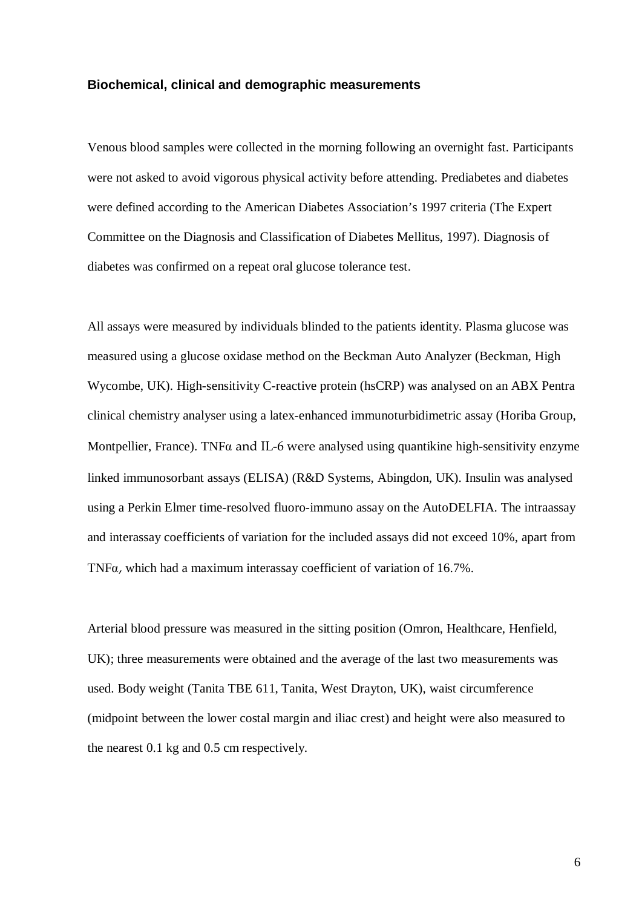#### **Biochemical, clinical and demographic measurements**

Venous blood samples were collected in the morning following an overnight fast. Participants were not asked to avoid vigorous physical activity before attending. Prediabetes and diabetes were defined according to the American Diabetes Association's 1997 criteria (The Expert Committee on the Diagnosis and Classification of Diabetes Mellitus, 1997). Diagnosis of diabetes was confirmed on a repeat oral glucose tolerance test.

All assays were measured by individuals blinded to the patients identity. Plasma glucose was measured using a glucose oxidase method on the Beckman Auto Analyzer (Beckman, High Wycombe, UK). High-sensitivity C-reactive protein (hsCRP) was analysed on an ABX Pentra clinical chemistry analyser using a latex-enhanced immunoturbidimetric assay (Horiba Group, Montpellier, France). TNF $\alpha$  and IL-6 were analysed using quantikine high-sensitivity enzyme linked immunosorbant assays (ELISA) (R&D Systems, Abingdon, UK). Insulin was analysed using a Perkin Elmer time-resolved fluoro-immuno assay on the AutoDELFIA. The intraassay and interassay coefficients of variation for the included assays did not exceed 10%, apart from TNF $\alpha$ , which had a maximum interassay coefficient of variation of 16.7%.

Arterial blood pressure was measured in the sitting position (Omron, Healthcare, Henfield, UK); three measurements were obtained and the average of the last two measurements was used. Body weight (Tanita TBE 611, Tanita, West Drayton, UK), waist circumference (midpoint between the lower costal margin and iliac crest) and height were also measured to the nearest 0.1 kg and 0.5 cm respectively.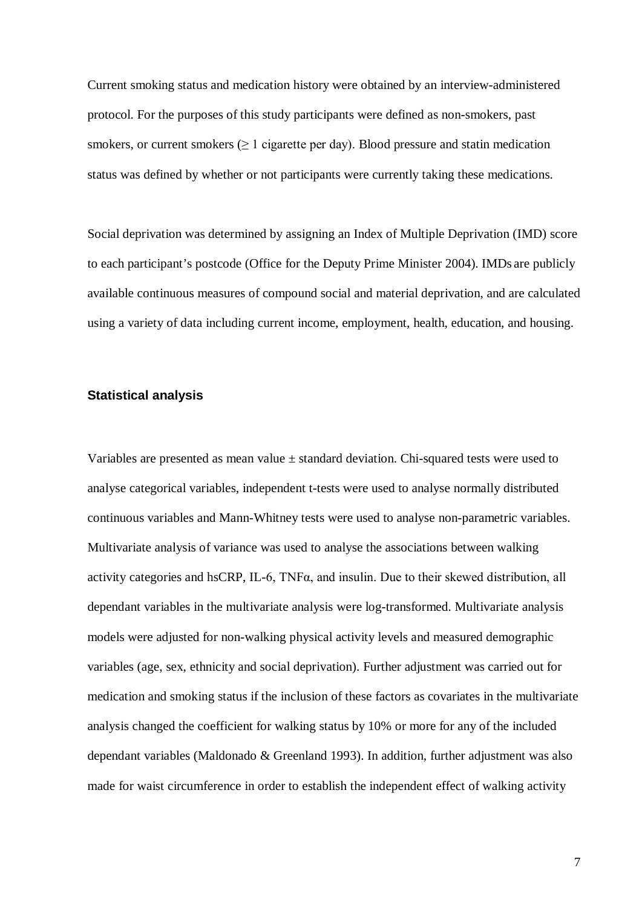Current smoking status and medication history were obtained by an interview-administered protocol. For the purposes of this study participants were defined as non-smokers, past smokers, or current smokers  $(\geq 1)$  cigarette per day). Blood pressure and statin medication status was defined by whether or not participants were currently taking these medications.

Social deprivation was determined by assigning an Index of Multiple Deprivation (IMD) score to each participant's postcode (Office for the Deputy Prime Minister 2004). IMDs are publicly available continuous measures of compound social and material deprivation, and are calculated using a variety of data including current income, employment, health, education, and housing.

#### **Statistical analysis**

Variables are presented as mean value  $\pm$  standard deviation. Chi-squared tests were used to analyse categorical variables, independent t-tests were used to analyse normally distributed continuous variables and Mann-Whitney tests were used to analyse non-parametric variables. Multivariate analysis of variance was used to analyse the associations between walking activity categories and hsCRP, IL-6, TNF $\alpha$ , and insulin. Due to their skewed distribution, all dependant variables in the multivariate analysis were log-transformed. Multivariate analysis models were adjusted for non-walking physical activity levels and measured demographic variables (age, sex, ethnicity and social deprivation). Further adjustment was carried out for medication and smoking status if the inclusion of these factors as covariates in the multivariate analysis changed the coefficient for walking status by 10% or more for any of the included dependant variables (Maldonado & Greenland 1993). In addition, further adjustment was also made for waist circumference in order to establish the independent effect of walking activity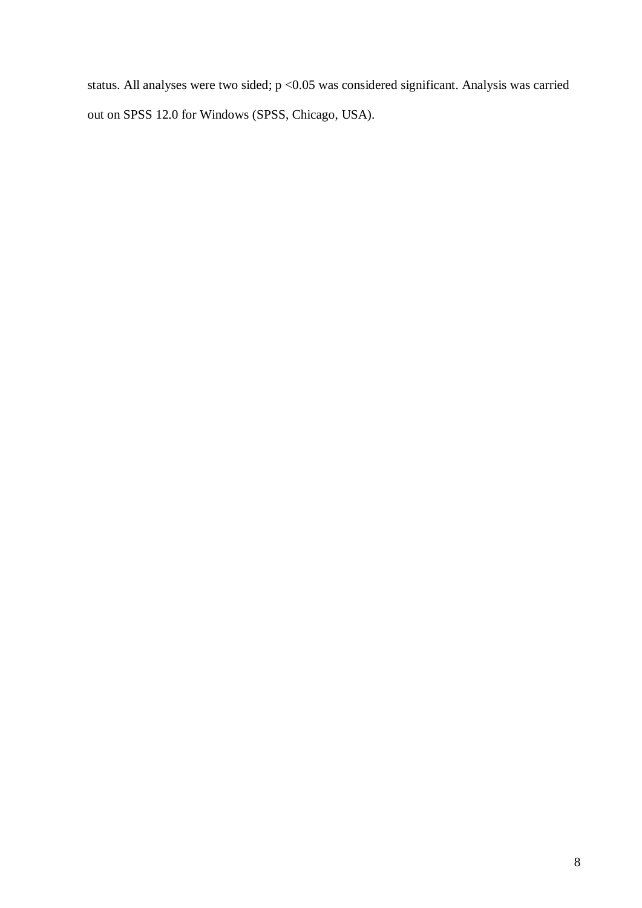status. All analyses were two sided; p <0.05 was considered significant. Analysis was carried out on SPSS 12.0 for Windows (SPSS, Chicago, USA).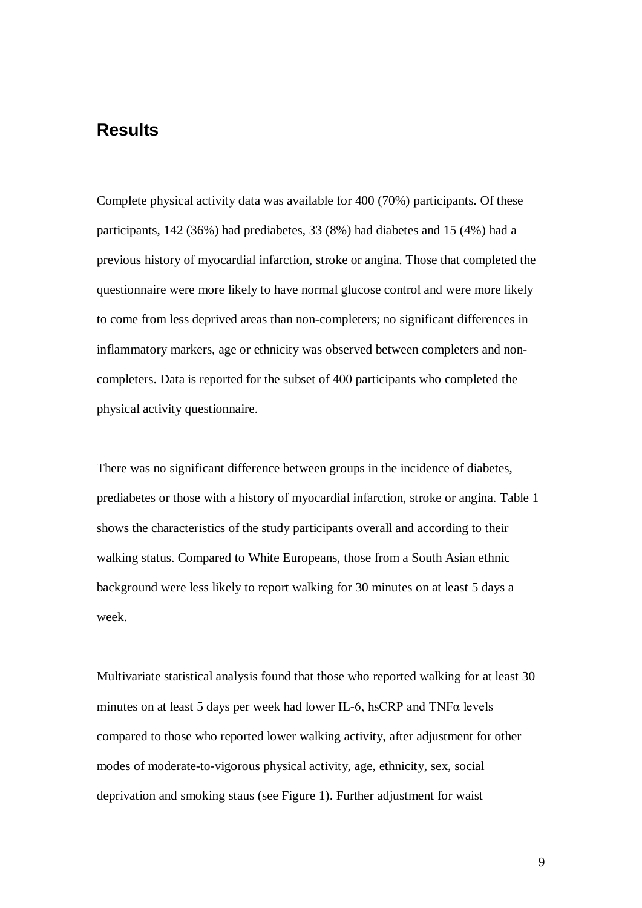## **Results**

Complete physical activity data was available for 400 (70%) participants. Of these participants, 142 (36%) had prediabetes, 33 (8%) had diabetes and 15 (4%) had a previous history of myocardial infarction, stroke or angina. Those that completed the questionnaire were more likely to have normal glucose control and were more likely to come from less deprived areas than non-completers; no significant differences in inflammatory markers, age or ethnicity was observed between completers and noncompleters. Data is reported for the subset of 400 participants who completed the physical activity questionnaire.

There was no significant difference between groups in the incidence of diabetes, prediabetes or those with a history of myocardial infarction, stroke or angina. Table 1 shows the characteristics of the study participants overall and according to their walking status. Compared to White Europeans, those from a South Asian ethnic background were less likely to report walking for 30 minutes on at least 5 days a week.

Multivariate statistical analysis found that those who reported walking for at least 30 minutes on at least 5 days per week had lower IL-6, hsCRP and  $TNF\alpha$  levels compared to those who reported lower walking activity, after adjustment for other modes of moderate-to-vigorous physical activity, age, ethnicity, sex, social deprivation and smoking staus (see Figure 1). Further adjustment for waist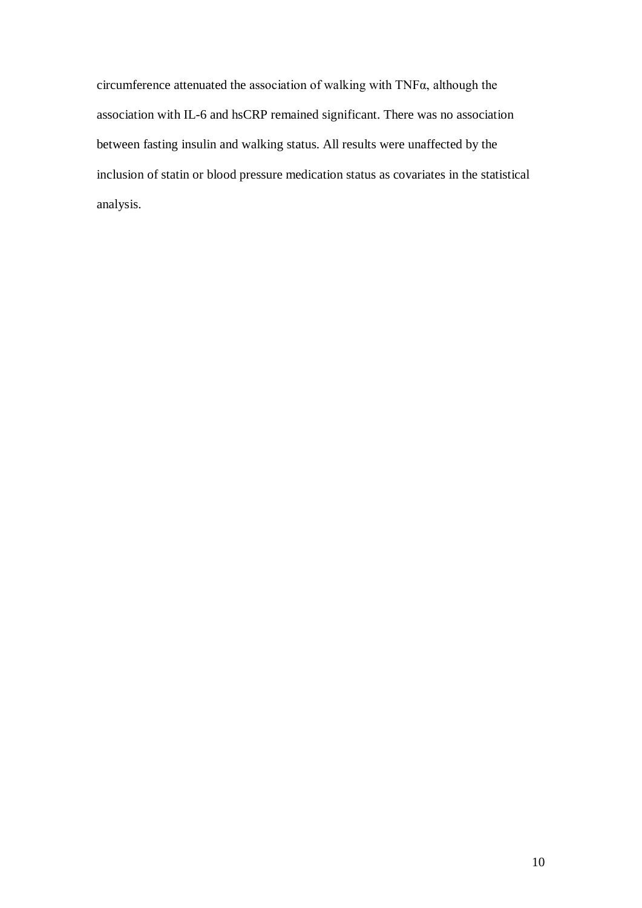circumference attenuated the association of walking with TNFα, although the association with IL-6 and hsCRP remained significant. There was no association between fasting insulin and walking status. All results were unaffected by the inclusion of statin or blood pressure medication status as covariates in the statistical analysis.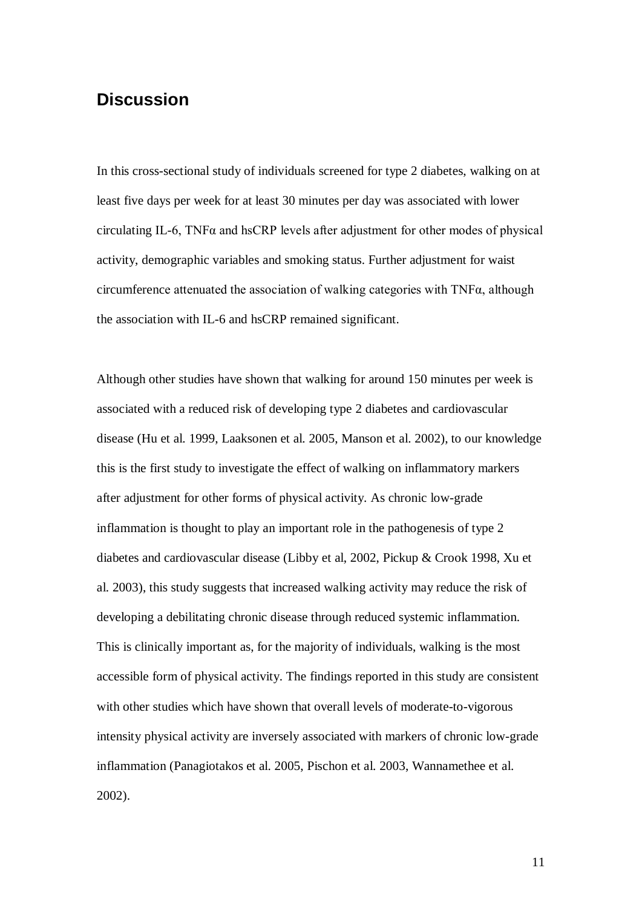## **Discussion**

In this cross-sectional study of individuals screened for type 2 diabetes, walking on at least five days per week for at least 30 minutes per day was associated with lower circulating IL-6, TNF $\alpha$  and hsCRP levels after adjustment for other modes of physical activity, demographic variables and smoking status. Further adjustment for waist circumference attenuated the association of walking categories with TNFα, although the association with IL-6 and hsCRP remained significant.

Although other studies have shown that walking for around 150 minutes per week is associated with a reduced risk of developing type 2 diabetes and cardiovascular disease (Hu et al. 1999, Laaksonen et al. 2005, Manson et al. 2002), to our knowledge this is the first study to investigate the effect of walking on inflammatory markers after adjustment for other forms of physical activity. As chronic low-grade inflammation is thought to play an important role in the pathogenesis of type 2 diabetes and cardiovascular disease (Libby et al, 2002, Pickup & Crook 1998, Xu et al. 2003), this study suggests that increased walking activity may reduce the risk of developing a debilitating chronic disease through reduced systemic inflammation. This is clinically important as, for the majority of individuals, walking is the most accessible form of physical activity. The findings reported in this study are consistent with other studies which have shown that overall levels of moderate-to-vigorous intensity physical activity are inversely associated with markers of chronic low-grade inflammation (Panagiotakos et al. 2005, Pischon et al. 2003, Wannamethee et al. 2002).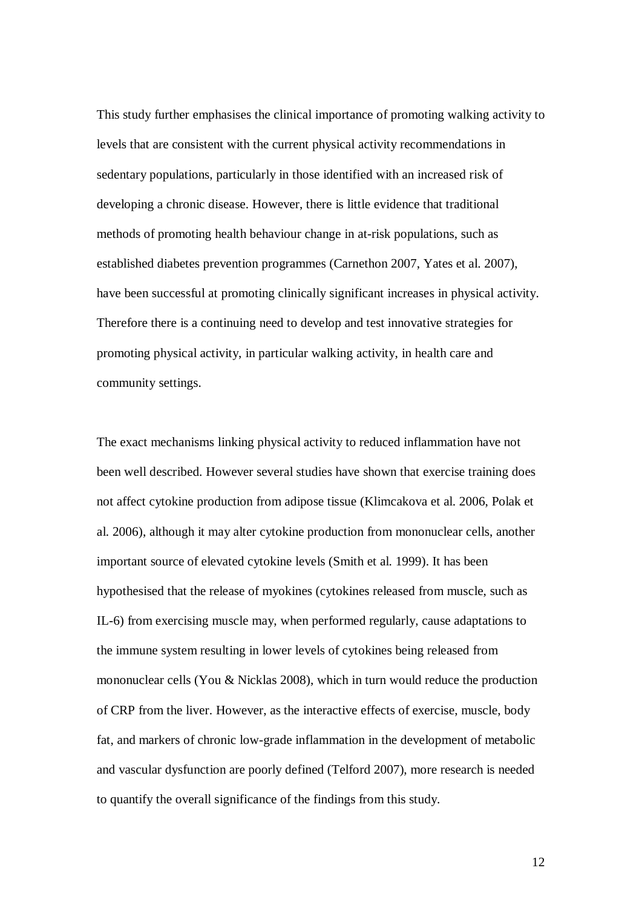This study further emphasises the clinical importance of promoting walking activity to levels that are consistent with the current physical activity recommendations in sedentary populations, particularly in those identified with an increased risk of developing a chronic disease. However, there is little evidence that traditional methods of promoting health behaviour change in at-risk populations, such as established diabetes prevention programmes (Carnethon 2007, Yates et al. 2007), have been successful at promoting clinically significant increases in physical activity. Therefore there is a continuing need to develop and test innovative strategies for promoting physical activity, in particular walking activity, in health care and community settings.

The exact mechanisms linking physical activity to reduced inflammation have not been well described. However several studies have shown that exercise training does not affect cytokine production from adipose tissue (Klimcakova et al. 2006, Polak et al. 2006), although it may alter cytokine production from mononuclear cells, another important source of elevated cytokine levels (Smith et al. 1999). It has been hypothesised that the release of myokines (cytokines released from muscle, such as IL-6) from exercising muscle may, when performed regularly, cause adaptations to the immune system resulting in lower levels of cytokines being released from mononuclear cells (You & Nicklas 2008), which in turn would reduce the production of CRP from the liver. However, as the interactive effects of exercise, muscle, body fat, and markers of chronic low-grade inflammation in the development of metabolic and vascular dysfunction are poorly defined (Telford 2007), more research is needed to quantify the overall significance of the findings from this study.

12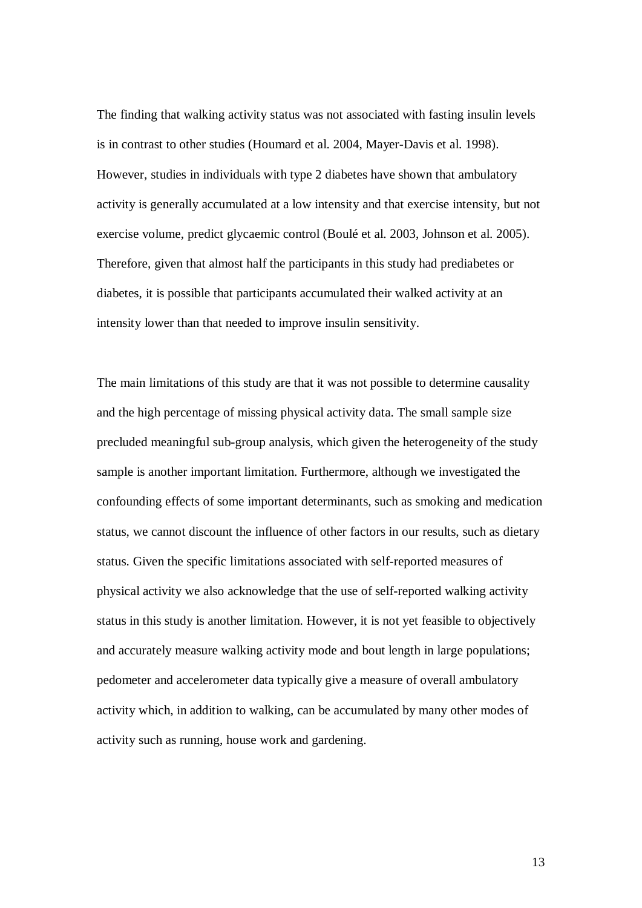The finding that walking activity status was not associated with fasting insulin levels is in contrast to other studies (Houmard et al. 2004, Mayer-Davis et al. 1998). However, studies in individuals with type 2 diabetes have shown that ambulatory activity is generally accumulated at a low intensity and that exercise intensity, but not exercise volume, predict glycaemic control (Boulé et al. 2003, Johnson et al. 2005). Therefore, given that almost half the participants in this study had prediabetes or diabetes, it is possible that participants accumulated their walked activity at an intensity lower than that needed to improve insulin sensitivity.

The main limitations of this study are that it was not possible to determine causality and the high percentage of missing physical activity data. The small sample size precluded meaningful sub-group analysis, which given the heterogeneity of the study sample is another important limitation. Furthermore, although we investigated the confounding effects of some important determinants, such as smoking and medication status, we cannot discount the influence of other factors in our results, such as dietary status. Given the specific limitations associated with self-reported measures of physical activity we also acknowledge that the use of self-reported walking activity status in this study is another limitation. However, it is not yet feasible to objectively and accurately measure walking activity mode and bout length in large populations; pedometer and accelerometer data typically give a measure of overall ambulatory activity which, in addition to walking, can be accumulated by many other modes of activity such as running, house work and gardening.

13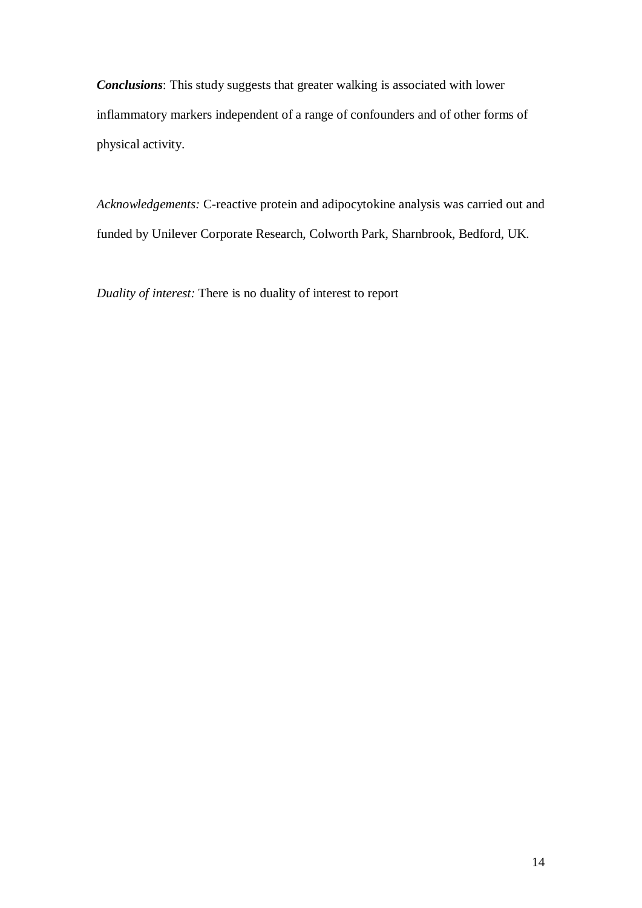*Conclusions*: This study suggests that greater walking is associated with lower inflammatory markers independent of a range of confounders and of other forms of physical activity.

*Acknowledgements:* C-reactive protein and adipocytokine analysis was carried out and funded by Unilever Corporate Research, Colworth Park, Sharnbrook, Bedford, UK.

*Duality of interest:* There is no duality of interest to report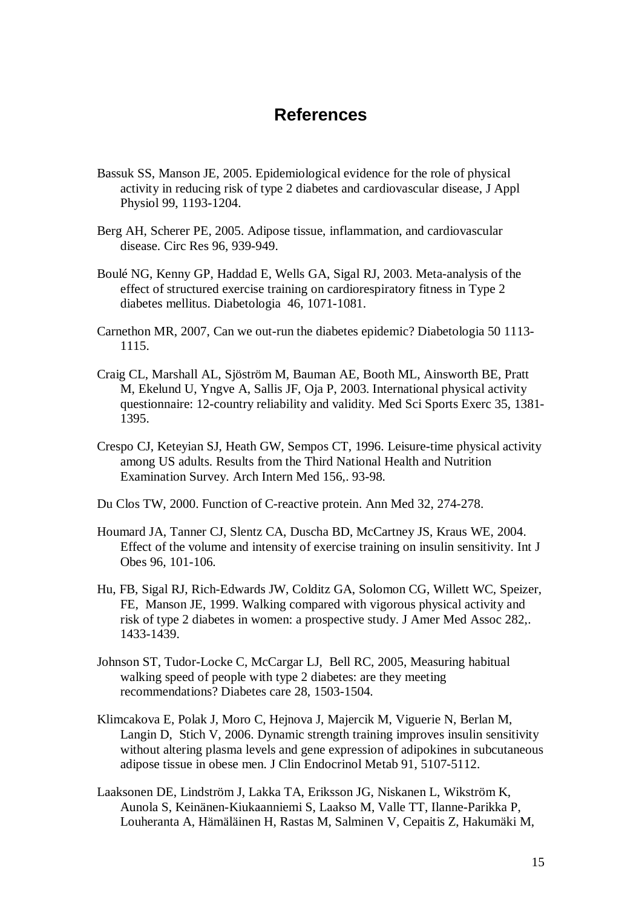### **References**

- Bassuk SS, Manson JE, 2005. Epidemiological evidence for the role of physical activity in reducing risk of type 2 diabetes and cardiovascular disease, J Appl Physiol 99, 1193-1204.
- Berg AH, Scherer PE, 2005. Adipose tissue, inflammation, and cardiovascular disease. Circ Res 96, 939-949.
- Boulé NG, Kenny GP, Haddad E, Wells GA, Sigal RJ, 2003. Meta-analysis of the effect of structured exercise training on cardiorespiratory fitness in Type 2 diabetes mellitus. Diabetologia 46, 1071-1081.
- Carnethon MR, 2007, Can we out-run the diabetes epidemic? Diabetologia 50 1113- 1115.
- Craig CL, Marshall AL, Sjöström M, Bauman AE, Booth ML, Ainsworth BE, Pratt M, Ekelund U, Yngve A, Sallis JF, Oja P, 2003. International physical activity questionnaire: 12-country reliability and validity. Med Sci Sports Exerc 35, 1381- 1395.
- Crespo CJ, Keteyian SJ, Heath GW, Sempos CT, 1996. Leisure-time physical activity among US adults. Results from the Third National Health and Nutrition Examination Survey. Arch Intern Med 156,. 93-98.
- Du Clos TW, 2000. Function of C-reactive protein. Ann Med 32, 274-278.
- Houmard JA, Tanner CJ, Slentz CA, Duscha BD, McCartney JS, Kraus WE, 2004. Effect of the volume and intensity of exercise training on insulin sensitivity. Int J Obes 96, 101-106.
- Hu, FB, Sigal RJ, Rich-Edwards JW, Colditz GA, Solomon CG, Willett WC, Speizer, FE, Manson JE, 1999. Walking compared with vigorous physical activity and risk of type 2 diabetes in women: a prospective study. J Amer Med Assoc 282,. 1433-1439.
- Johnson ST, Tudor-Locke C, McCargar LJ, Bell RC, 2005, Measuring habitual walking speed of people with type 2 diabetes: are they meeting recommendations? Diabetes care 28, 1503-1504.
- Klimcakova E, Polak J, Moro C, Hejnova J, Majercik M, Viguerie N, Berlan M, Langin D, Stich V, 2006. Dynamic strength training improves insulin sensitivity without altering plasma levels and gene expression of adipokines in subcutaneous adipose tissue in obese men. J Clin Endocrinol Metab 91, 5107-5112.
- Laaksonen DE, Lindström J, Lakka TA, Eriksson JG, Niskanen L, Wikström K, Aunola S, Keinänen-Kiukaanniemi S, Laakso M, Valle TT, Ilanne-Parikka P, Louheranta A, Hämäläinen H, Rastas M, Salminen V, Cepaitis Z, Hakumäki M,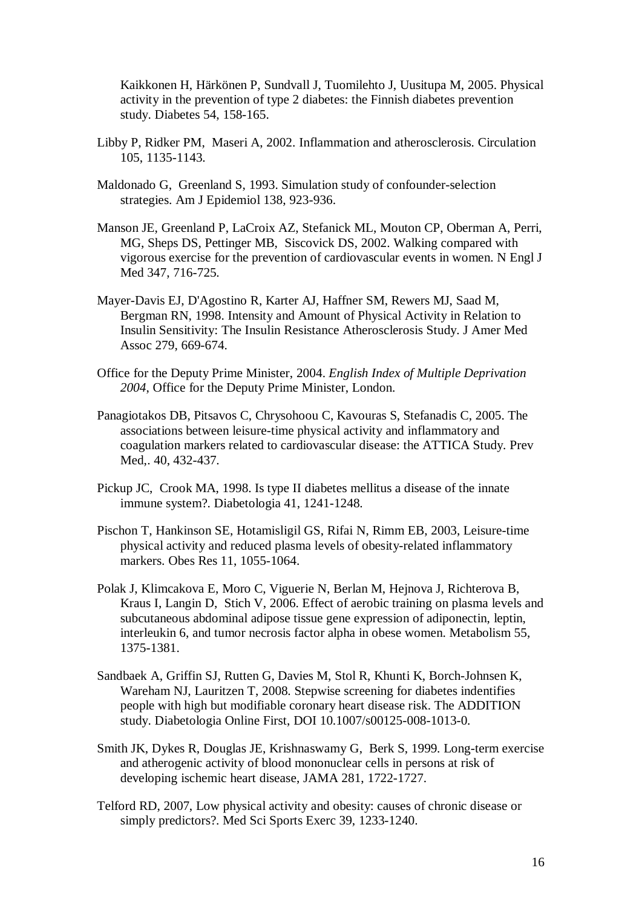Kaikkonen H, Härkönen P, Sundvall J, Tuomilehto J, Uusitupa M, 2005. Physical activity in the prevention of type 2 diabetes: the Finnish diabetes prevention study. Diabetes 54, 158-165.

- Libby P, Ridker PM, Maseri A, 2002. Inflammation and atherosclerosis. Circulation 105, 1135-1143.
- Maldonado G, Greenland S, 1993. Simulation study of confounder-selection strategies. Am J Epidemiol 138, 923-936.
- Manson JE, Greenland P, LaCroix AZ, Stefanick ML, Mouton CP, Oberman A, Perri, MG, Sheps DS, Pettinger MB, Siscovick DS, 2002. Walking compared with vigorous exercise for the prevention of cardiovascular events in women. N Engl J Med 347, 716-725.
- Mayer-Davis EJ, D'Agostino R, Karter AJ, Haffner SM, Rewers MJ, Saad M, Bergman RN, 1998. Intensity and Amount of Physical Activity in Relation to Insulin Sensitivity: The Insulin Resistance Atherosclerosis Study. J Amer Med Assoc 279, 669-674.
- Office for the Deputy Prime Minister, 2004. *English Index of Multiple Deprivation 2004*, Office for the Deputy Prime Minister, London.
- Panagiotakos DB, Pitsavos C, Chrysohoou C, Kavouras S, Stefanadis C, 2005. The associations between leisure-time physical activity and inflammatory and coagulation markers related to cardiovascular disease: the ATTICA Study. Prev Med,. 40, 432-437.
- Pickup JC, Crook MA, 1998. Is type II diabetes mellitus a disease of the innate immune system?. Diabetologia 41, 1241-1248.
- Pischon T, Hankinson SE, Hotamisligil GS, Rifai N, Rimm EB, 2003, Leisure-time physical activity and reduced plasma levels of obesity-related inflammatory markers. Obes Res 11, 1055-1064.
- Polak J, Klimcakova E, Moro C, Viguerie N, Berlan M, Hejnova J, Richterova B, Kraus I, Langin D, Stich V, 2006. Effect of aerobic training on plasma levels and subcutaneous abdominal adipose tissue gene expression of adiponectin, leptin, interleukin 6, and tumor necrosis factor alpha in obese women. Metabolism 55, 1375-1381.
- Sandbaek A, Griffin SJ, Rutten G, Davies M, Stol R, Khunti K, Borch-Johnsen K, Wareham NJ, Lauritzen T, 2008. Stepwise screening for diabetes indentifies people with high but modifiable coronary heart disease risk. The ADDITION study. Diabetologia Online First, DOI 10.1007/s00125-008-1013-0.
- Smith JK, Dykes R, Douglas JE, Krishnaswamy G, Berk S, 1999. Long-term exercise and atherogenic activity of blood mononuclear cells in persons at risk of developing ischemic heart disease, JAMA 281, 1722-1727.
- Telford RD, 2007, Low physical activity and obesity: causes of chronic disease or simply predictors?. Med Sci Sports Exerc 39, 1233-1240.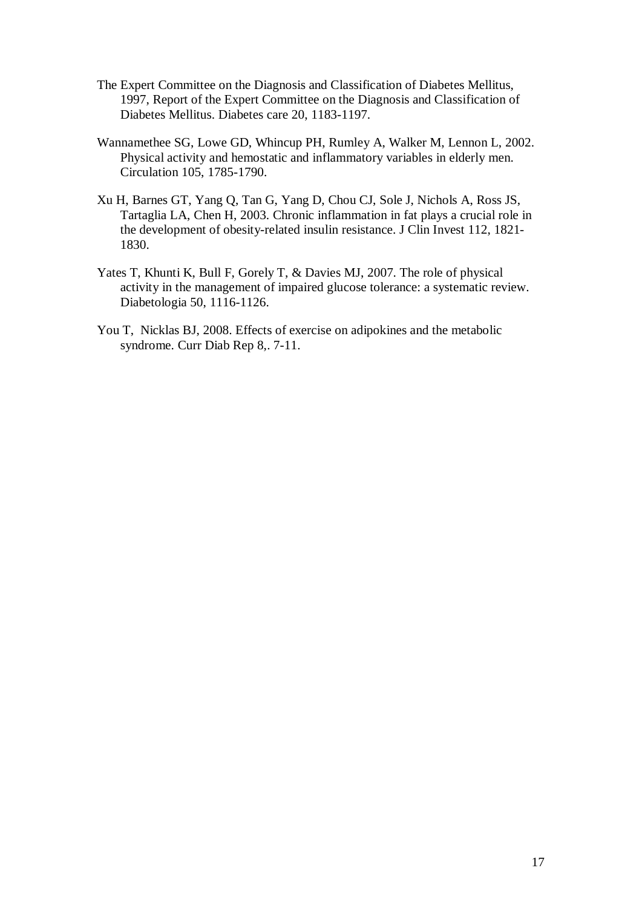- The Expert Committee on the Diagnosis and Classification of Diabetes Mellitus, 1997, Report of the Expert Committee on the Diagnosis and Classification of Diabetes Mellitus. Diabetes care 20, 1183-1197.
- Wannamethee SG, Lowe GD, Whincup PH, Rumley A, Walker M, Lennon L, 2002. Physical activity and hemostatic and inflammatory variables in elderly men. Circulation 105, 1785-1790.
- Xu H, Barnes GT, Yang Q, Tan G, Yang D, Chou CJ, Sole J, Nichols A, Ross JS, Tartaglia LA, Chen H, 2003. Chronic inflammation in fat plays a crucial role in the development of obesity-related insulin resistance. J Clin Invest 112, 1821- 1830.
- Yates T, Khunti K, Bull F, Gorely T, & Davies MJ, 2007. The role of physical activity in the management of impaired glucose tolerance: a systematic review. Diabetologia 50, 1116-1126.
- You T, Nicklas BJ, 2008. Effects of exercise on adipokines and the metabolic syndrome. Curr Diab Rep 8,. 7-11.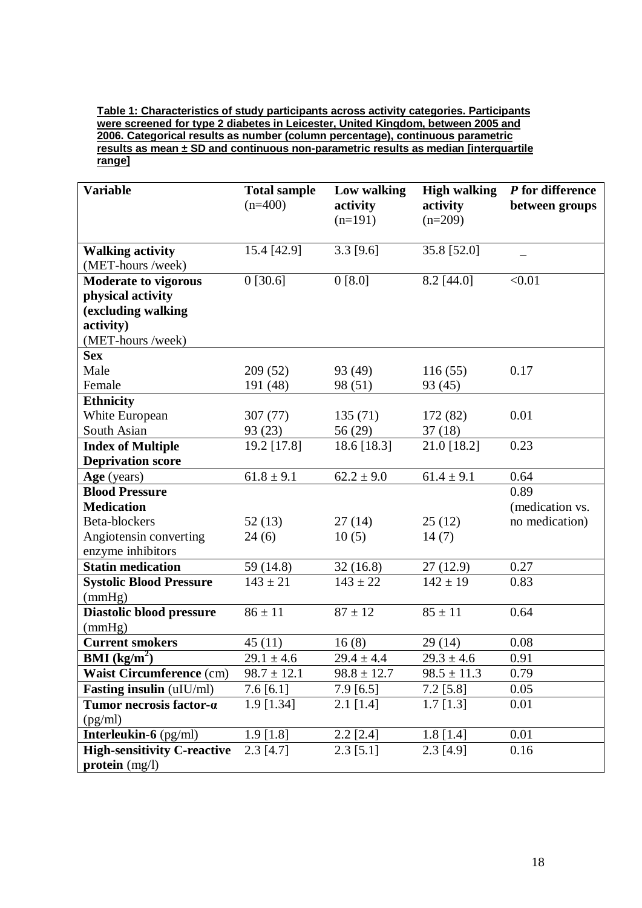**Table 1: Characteristics of study participants across activity categories. Participants were screened for type 2 diabetes in Leicester, United Kingdom, between 2005 and 2006. Categorical results as number (column percentage), continuous parametric results as mean ± SD and continuous non-parametric results as median [interquartile range]**

| <b>Variable</b>                    | <b>Total sample</b><br>$(n=400)$ | Low walking<br>activity<br>$(n=191)$ | <b>High walking</b><br>activity<br>$(n=209)$ | P for difference<br>between groups |
|------------------------------------|----------------------------------|--------------------------------------|----------------------------------------------|------------------------------------|
| <b>Walking activity</b>            | 15.4 [42.9]                      | $3.3$ [9.6]                          | 35.8 [52.0]                                  |                                    |
| (MET-hours/week)                   |                                  |                                      |                                              |                                    |
| <b>Moderate to vigorous</b>        | 0[30.6]                          | 0 [8.0]                              | 8.2 [44.0]                                   | < 0.01                             |
| physical activity                  |                                  |                                      |                                              |                                    |
| (excluding walking                 |                                  |                                      |                                              |                                    |
| activity)                          |                                  |                                      |                                              |                                    |
| (MET-hours/week)                   |                                  |                                      |                                              |                                    |
| <b>Sex</b>                         |                                  |                                      |                                              |                                    |
| Male                               | 209 (52)                         | 93 (49)                              | 116(55)                                      | 0.17                               |
| Female                             | 191 (48)                         | 98 (51)                              | 93 (45)                                      |                                    |
| <b>Ethnicity</b><br>White European | 307 (77)                         | 135(71)                              |                                              | 0.01                               |
| South Asian                        | 93 (23)                          | 56 (29)                              | 172 (82)<br>37(18)                           |                                    |
| <b>Index of Multiple</b>           | 19.2 [17.8]                      | 18.6 [18.3]                          | 21.0 [18.2]                                  | 0.23                               |
| <b>Deprivation score</b>           |                                  |                                      |                                              |                                    |
| Age (years)                        | $61.8 \pm 9.1$                   | $62.2 \pm 9.0$                       | $61.4 \pm 9.1$                               | 0.64                               |
| <b>Blood Pressure</b>              |                                  |                                      |                                              | 0.89                               |
| <b>Medication</b>                  |                                  |                                      |                                              | (medication vs.                    |
| Beta-blockers                      | 52(13)                           | 27(14)                               | 25(12)                                       | no medication)                     |
| Angiotensin converting             | 24(6)                            | 10(5)                                | 14(7)                                        |                                    |
| enzyme inhibitors                  |                                  |                                      |                                              |                                    |
| <b>Statin medication</b>           | 59 (14.8)                        | 32(16.8)                             | 27 (12.9)                                    | 0.27                               |
| <b>Systolic Blood Pressure</b>     | $143 \pm 21$                     | $143 \pm 22$                         | $142 \pm 19$                                 | 0.83                               |
| (mmHg)                             |                                  |                                      |                                              |                                    |
| Diastolic blood pressure           | $86 \pm 11$                      | $87 \pm 12$                          | $85 \pm 11$                                  | 0.64                               |
| (mmHg)                             |                                  |                                      |                                              |                                    |
| <b>Current smokers</b>             | 45(11)                           | 16(8)                                | 29 (14)                                      | 0.08                               |
| <b>BMI</b> ( $kg/m2$ )             | $29.1 \pm 4.6$                   | $29.4 \pm 4.4$                       | $29.3 \pm 4.6$                               | 0.91                               |
| <b>Waist Circumference (cm)</b>    | $98.7 \pm 12.1$                  | $98.8 \pm 12.7$                      | $98.5 \pm 11.3$                              | 0.79                               |
| Fasting insulin (uIU/ml)           | $7.6\,[6.1]$                     | $7.9\ [6.5]$                         | $7.2$ [5.8]                                  | 0.05                               |
| Tumor necrosis factor-a            | 1.9 [1.34]                       | $2.1$ [1.4]                          | $1.7$ [1.3]                                  | 0.01                               |
| (pg/ml)                            |                                  |                                      |                                              |                                    |
| Interleukin-6 (pg/ml)              | $1.9$ [1.8]                      | $2.2$ [ $2.4$ ]                      | $1.8$ [1.4]                                  | 0.01                               |
| <b>High-sensitivity C-reactive</b> | $2.3$ [4.7]                      | $2.3$ [5.1]                          | $2.3$ [4.9]                                  | 0.16                               |
| $\mathbf{protein}$ (mg/l)          |                                  |                                      |                                              |                                    |